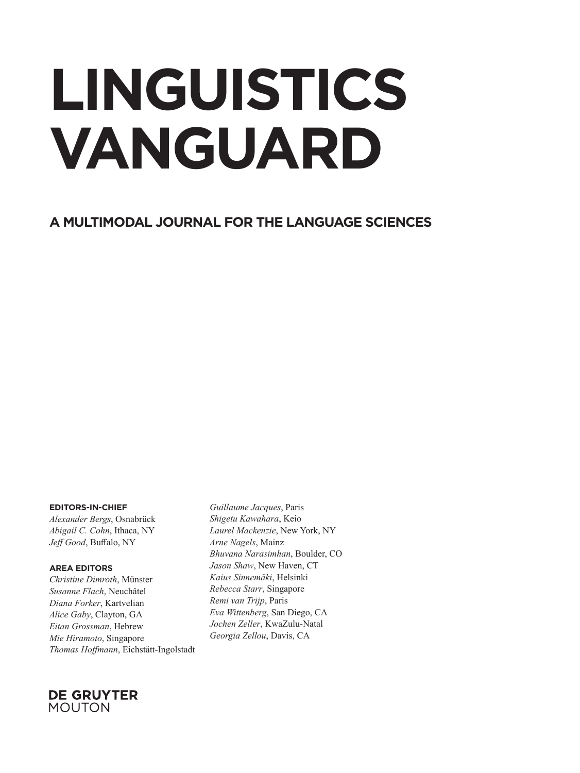## **LINGUISTICS VANGUARD**

**A MULTIMODAL JOURNAL FOR THE LANGUAGE SCIENCES**

## **EDITORS-IN-CHIEF**

*Alexander Bergs*, Osnabrück *Abigail C. Cohn*, Ithaca, NY  $J$ eff<sup></sup> Good, Buffalo, NY

## **AREA EDITORS**

*Christine Dimroth*, Münster *Susanne Flach*, Neuchâtel *Diana Forker*, Kartvelian *Alice Gaby*, Clayton, GA *Eitan Grossman*, Hebrew *Mie Hiramoto*, Singapore *Thomas Hoff mann*, Eichstätt-Ingolstadt

*Guillaume Jacques*, Paris *Shigetu Kawahara*, Keio *Laurel Mackenzie*, New York, NY *Arne Nagels*, Mainz *Bhuvana Narasimhan*, Boulder, CO *Jason Shaw*, New Haven, CT *Kaius Sinnemäki*, Helsinki *Rebecca Starr*, Singapore *Remi van Trijp*, Paris *Eva Wittenberg*, San Diego, CA *Jochen Zeller*, KwaZulu-Natal *Georgia Zellou*, Davis, CA